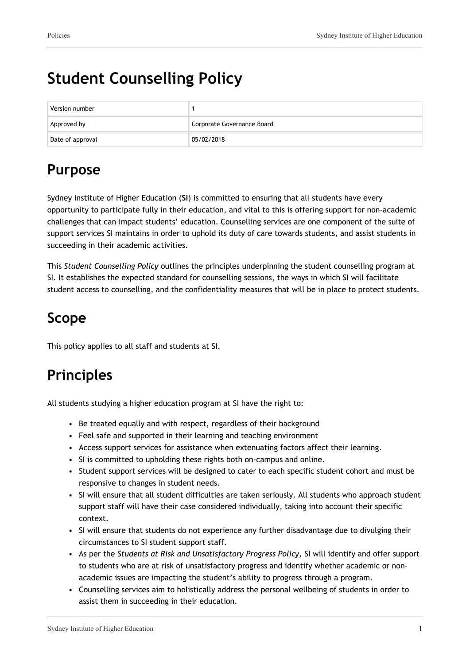# **Student Counselling Policy**

| Version number   |                            |
|------------------|----------------------------|
| Approved by      | Corporate Governance Board |
| Date of approval | 05/02/2018                 |

### **Purpose**

Sydney Institute of Higher Education (**SI**) is committed to ensuring that all students have every opportunity to participate fully in their education, and vital to this is offering support for non-academic challenges that can impact students' education. Counselling services are one component of the suite of support services SI maintains in order to uphold its duty of care towards students, and assist students in succeeding in their academic activities.

This *Student Counselling Policy* outlines the principles underpinning the student counselling program at SI. It establishes the expected standard for counselling sessions, the ways in which SI will facilitate student access to counselling, and the confidentiality measures that will be in place to protect students.

## **Scope**

This policy applies to all staff and students at SI.

## **Principles**

All students studying a higher education program at SI have the right to:

- Be treated equally and with respect, regardless of their background
- Feel safe and supported in their learning and teaching environment
- Access support services for assistance when extenuating factors affect their learning.
- SI is committed to upholding these rights both on-campus and online.
- Student support services will be designed to cater to each specific student cohort and must be responsive to changes in student needs.
- SI will ensure that all student difficulties are taken seriously. All students who approach student support staff will have their case considered individually, taking into account their specific context.
- SI will ensure that students do not experience any further disadvantage due to divulging their circumstances to SI student support staff.
- As per the *Students at Risk and Unsatisfactory Progress Policy,* SI will identify and offer support to students who are at risk of unsatisfactory progress and identify whether academic or nonacademic issues are impacting the student's ability to progress through a program.
- Counselling services aim to holistically address the personal wellbeing of students in order to assist them in succeeding in their education.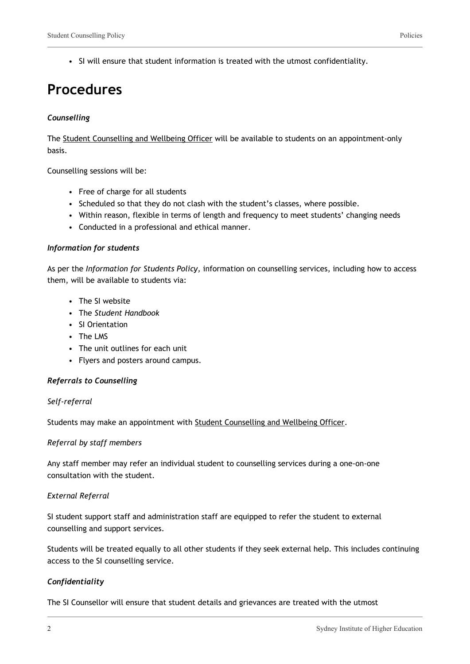### **Procedures**

#### *Counselling*

The Student Counselling and Wellbeing Officer will be available to students on an appointment-only basis.

Counselling sessions will be:

- Free of charge for all students
- Scheduled so that they do not clash with the student's classes, where possible.
- Within reason, flexible in terms of length and frequency to meet students' changing needs
- Conducted in a professional and ethical manner.

#### *Information for students*

As per the *Information for Students Policy,* information on counselling services, including how to access them, will be available to students via:

- The SI website
- The *Student Handbook*
- SI Orientation
- The LMS
- The unit outlines for each unit
- Flyers and posters around campus.

#### *Referrals to Counselling*

#### *Self-referral*

Students may make an appointment with Student Counselling and Wellbeing Officer.

#### *Referral by staff members*

Any staff member may refer an individual student to counselling services during a one-on-one consultation with the student.

#### *External Referral*

SI student support staff and administration staff are equipped to refer the student to external counselling and support services.

Students will be treated equally to all other students if they seek external help. This includes continuing access to the SI counselling service.

#### *Confidentiality*

The SI Counsellor will ensure that student details and grievances are treated with the utmost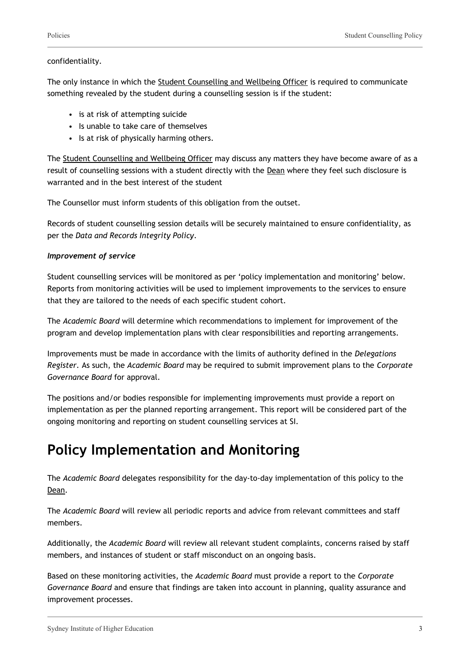#### confidentiality.

The only instance in which the Student Counselling and Wellbeing Officer is required to communicate something revealed by the student during a counselling session is if the student:

- is at risk of attempting suicide
- Is unable to take care of themselves
- Is at risk of physically harming others.

The Student Counselling and Wellbeing Officer may discuss any matters they have become aware of as a result of counselling sessions with a student directly with the Dean where they feel such disclosure is warranted and in the best interest of the student

The Counsellor must inform students of this obligation from the outset.

Records of student counselling session details will be securely maintained to ensure confidentiality, as per the *Data and Records Integrity Policy*.

#### *Improvement of service*

Student counselling services will be monitored as per 'policy implementation and monitoring' below. Reports from monitoring activities will be used to implement improvements to the services to ensure that they are tailored to the needs of each specific student cohort.

The *Academic Board* will determine which recommendations to implement for improvement of the program and develop implementation plans with clear responsibilities and reporting arrangements.

Improvements must be made in accordance with the limits of authority defined in the *Delegations Register.* As such, the *Academic Board* may be required to submit improvement plans to the *Corporate Governance Board* for approval.

The positions and/or bodies responsible for implementing improvements must provide a report on implementation as per the planned reporting arrangement. This report will be considered part of the ongoing monitoring and reporting on student counselling services at SI.

### **Policy Implementation and Monitoring**

The *Academic Board* delegates responsibility for the day-to-day implementation of this policy to the Dean.

The *Academic Board* will review all periodic reports and advice from relevant committees and staff members.

Additionally, the *Academic Board* will review all relevant student complaints, concerns raised by staff members, and instances of student or staff misconduct on an ongoing basis.

Based on these monitoring activities, the *Academic Board* must provide a report to the *Corporate Governance Board* and ensure that findings are taken into account in planning, quality assurance and improvement processes.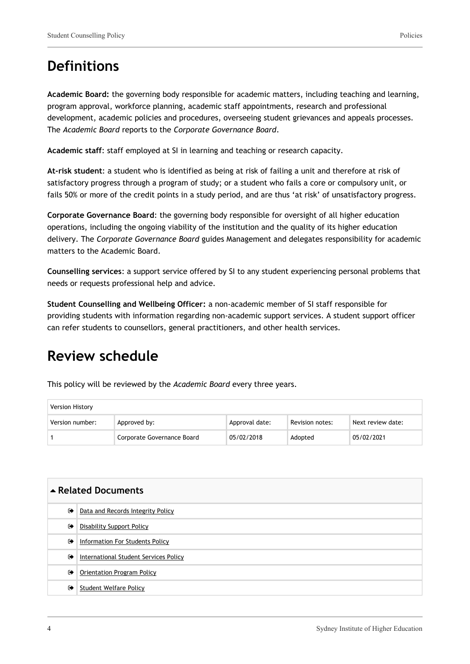**Academic Board:** the governing body responsible for academic matters, including teaching and learning, program approval, workforce planning, academic staff appointments, research and professional development, academic policies and procedures, overseeing student grievances and appeals processes. The *Academic Board* reports to the *Corporate Governance Board*.

**Academic staff**: staff employed at SI in learning and teaching or research capacity.

**At-risk student**: a student who is identified as being at risk of failing a unit and therefore at risk of satisfactory progress through a program of study; or a student who fails a core or compulsory unit, or fails 50% or more of the credit points in a study period, and are thus 'at risk' of unsatisfactory progress.

**Corporate Governance Board**: the governing body responsible for oversight of all higher education operations, including the ongoing viability of the institution and the quality of its higher education delivery. The *Corporate Governance Board* guides Management and delegates responsibility for academic matters to the Academic Board.

**Counselling services**: a support service offered by SI to any student experiencing personal problems that needs or requests professional help and advice.

**Student Counselling and Wellbeing Officer:** a non-academic member of SI staff responsible for providing students with information regarding non-academic support services. A student support officer can refer students to counsellors, general practitioners, and other health services.

### **Review schedule**

This policy will be reviewed by the *Academic Board* every three years.

| Version History |                            |                |                 |                   |
|-----------------|----------------------------|----------------|-----------------|-------------------|
| Version number: | Approved by:               | Approval date: | Revision notes: | Next review date: |
|                 | Corporate Governance Board | 05/02/2018     | Adopted         | 05/02/2021        |

| ▲ Related Documents |                                       |  |
|---------------------|---------------------------------------|--|
| ☞                   | Data and Records Integrity Policy     |  |
| $\bullet$           | <b>Disability Support Policy</b>      |  |
| $\bullet$           | Information For Students Policy       |  |
| ☞                   | International Student Services Policy |  |
| ☞                   | Orientation Program Policy            |  |
| $\bullet$           | Student Welfare Policy                |  |